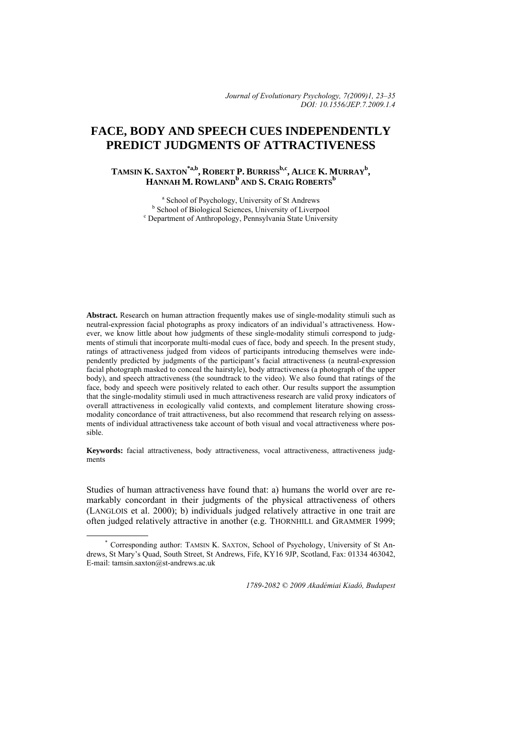*Journal of Evolutionary Psychology, 7(2009)1, 23–35 DOI: 10.1556/JEP.7.2009.1.4*

# **FACE, BODY AND SPEECH CUES INDEPENDENTLY PREDICT JUDGMENTS OF ATTRACTIVENESS**

## **TAMSIN K. SAXTON\*a,b, ROBERT P. BURRISSb,c, ALICE K. MURRAYb , HANNAH M. ROWLAND<sup>b</sup> AND S. CRAIG ROBERTS<sup>b</sup>**

<sup>a</sup> School of Psychology, University of St Andrews<br><sup>b</sup> School of Pickogiael Sciences, University of Livern **b** School of Biological Sciences, University of Liverpool Department of Anthropology, Pennsylvania State University

**Abstract.** Research on human attraction frequently makes use of single-modality stimuli such as neutral-expression facial photographs as proxy indicators of an individual's attractiveness. However, we know little about how judgments of these single-modality stimuli correspond to judgments of stimuli that incorporate multi-modal cues of face, body and speech. In the present study, ratings of attractiveness judged from videos of participants introducing themselves were independently predicted by judgments of the participant's facial attractiveness (a neutral-expression facial photograph masked to conceal the hairstyle), body attractiveness (a photograph of the upper body), and speech attractiveness (the soundtrack to the video). We also found that ratings of the face, body and speech were positively related to each other. Our results support the assumption that the single-modality stimuli used in much attractiveness research are valid proxy indicators of overall attractiveness in ecologically valid contexts, and complement literature showing crossmodality concordance of trait attractiveness, but also recommend that research relying on assessments of individual attractiveness take account of both visual and vocal attractiveness where possible.

**Keywords:** facial attractiveness, body attractiveness, vocal attractiveness, attractiveness judgments

Studies of human attractiveness have found that: a) humans the world over are remarkably concordant in their judgments of the physical attractiveness of others (LANGLOIS et al. 2000); b) individuals judged relatively attractive in one trait are often judged relatively attractive in another (e.g. THORNHILL and GRAMMER 1999;

*1789-2082 © 2009 Akadémiai Kiadó, Budapest* 

 <sup>\*</sup> Corresponding author: TAMSIN K. SAXTON, School of Psychology, University of St Andrews, St Mary's Quad, South Street, St Andrews, Fife, KY16 9JP, Scotland, Fax: 01334 463042, E-mail: tamsin.saxton@st-andrews.ac.uk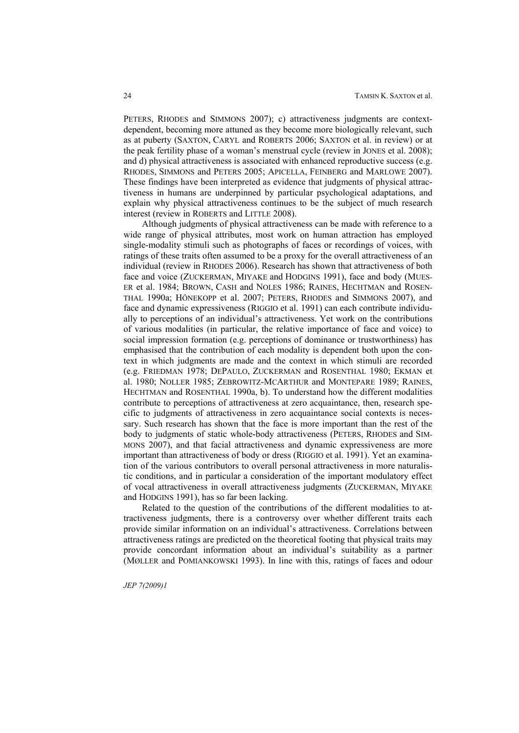PETERS, RHODES and SIMMONS 2007); c) attractiveness judgments are contextdependent, becoming more attuned as they become more biologically relevant, such as at puberty (SAXTON, CARYL and ROBERTS 2006; SAXTON et al. in review) or at the peak fertility phase of a woman's menstrual cycle (review in JONES et al. 2008); and d) physical attractiveness is associated with enhanced reproductive success (e.g. RHODES, SIMMONS and PETERS 2005; APICELLA, FEINBERG and MARLOWE 2007). These findings have been interpreted as evidence that judgments of physical attractiveness in humans are underpinned by particular psychological adaptations, and explain why physical attractiveness continues to be the subject of much research interest (review in ROBERTS and LITTLE 2008).

Although judgments of physical attractiveness can be made with reference to a wide range of physical attributes, most work on human attraction has employed single-modality stimuli such as photographs of faces or recordings of voices, with ratings of these traits often assumed to be a proxy for the overall attractiveness of an individual (review in RHODES 2006). Research has shown that attractiveness of both face and voice (ZUCKERMAN, MIYAKE and HODGINS 1991), face and body (MUES-ER et al. 1984; BROWN, CASH and NOLES 1986; RAINES, HECHTMAN and ROSEN-THAL 1990a; HÖNEKOPP et al. 2007; PETERS, RHODES and SIMMONS 2007), and face and dynamic expressiveness (RIGGIO et al. 1991) can each contribute individually to perceptions of an individual's attractiveness. Yet work on the contributions of various modalities (in particular, the relative importance of face and voice) to social impression formation (e.g. perceptions of dominance or trustworthiness) has emphasised that the contribution of each modality is dependent both upon the context in which judgments are made and the context in which stimuli are recorded (e.g. FRIEDMAN 1978; DEPAULO, ZUCKERMAN and ROSENTHAL 1980; EKMAN et al. 1980; NOLLER 1985; ZEBROWITZ-MCARTHUR and MONTEPARE 1989; RAINES, HECHTMAN and ROSENTHAL 1990a, b). To understand how the different modalities contribute to perceptions of attractiveness at zero acquaintance, then, research specific to judgments of attractiveness in zero acquaintance social contexts is necessary. Such research has shown that the face is more important than the rest of the body to judgments of static whole-body attractiveness (PETERS, RHODES and SIM-MONS 2007), and that facial attractiveness and dynamic expressiveness are more important than attractiveness of body or dress (RIGGIO et al. 1991). Yet an examination of the various contributors to overall personal attractiveness in more naturalistic conditions, and in particular a consideration of the important modulatory effect of vocal attractiveness in overall attractiveness judgments (ZUCKERMAN, MIYAKE and HODGINS 1991), has so far been lacking.

Related to the question of the contributions of the different modalities to attractiveness judgments, there is a controversy over whether different traits each provide similar information on an individual's attractiveness. Correlations between attractiveness ratings are predicted on the theoretical footing that physical traits may provide concordant information about an individual's suitability as a partner (MØLLER and POMIANKOWSKI 1993). In line with this, ratings of faces and odour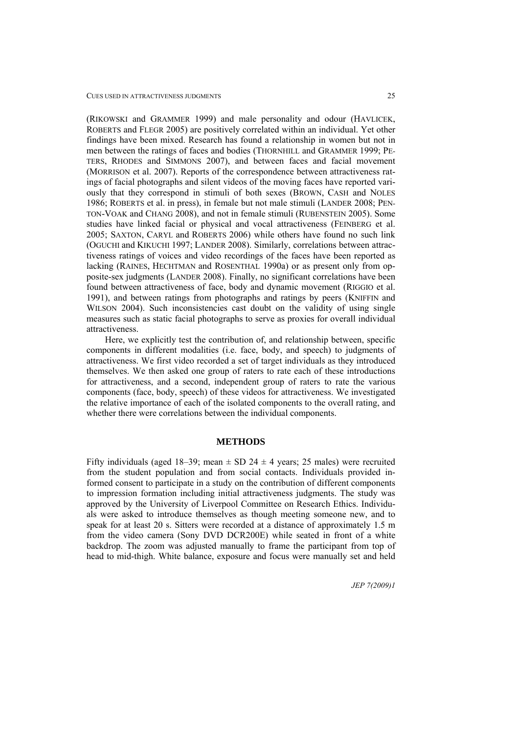(RIKOWSKI and GRAMMER 1999) and male personality and odour (HAVLICEK, ROBERTS and FLEGR 2005) are positively correlated within an individual. Yet other findings have been mixed. Research has found a relationship in women but not in men between the ratings of faces and bodies (THORNHILL and GRAMMER 1999; PE-TERS, RHODES and SIMMONS 2007), and between faces and facial movement (MORRISON et al. 2007). Reports of the correspondence between attractiveness ratings of facial photographs and silent videos of the moving faces have reported variously that they correspond in stimuli of both sexes (BROWN, CASH and NOLES 1986; ROBERTS et al. in press), in female but not male stimuli (LANDER 2008; PEN-TON-VOAK and CHANG 2008), and not in female stimuli (RUBENSTEIN 2005). Some studies have linked facial or physical and vocal attractiveness (FEINBERG et al. 2005; SAXTON, CARYL and ROBERTS 2006) while others have found no such link (OGUCHI and KIKUCHI 1997; LANDER 2008). Similarly, correlations between attractiveness ratings of voices and video recordings of the faces have been reported as lacking (RAINES, HECHTMAN and ROSENTHAL 1990a) or as present only from opposite-sex judgments (LANDER 2008). Finally, no significant correlations have been found between attractiveness of face, body and dynamic movement (RIGGIO et al. 1991), and between ratings from photographs and ratings by peers (KNIFFIN and WILSON 2004). Such inconsistencies cast doubt on the validity of using single measures such as static facial photographs to serve as proxies for overall individual attractiveness.

Here, we explicitly test the contribution of, and relationship between, specific components in different modalities (i.e. face, body, and speech) to judgments of attractiveness. We first video recorded a set of target individuals as they introduced themselves. We then asked one group of raters to rate each of these introductions for attractiveness, and a second, independent group of raters to rate the various components (face, body, speech) of these videos for attractiveness. We investigated the relative importance of each of the isolated components to the overall rating, and whether there were correlations between the individual components.

#### **METHODS**

Fifty individuals (aged 18–39; mean  $\pm$  SD 24  $\pm$  4 years; 25 males) were recruited from the student population and from social contacts. Individuals provided informed consent to participate in a study on the contribution of different components to impression formation including initial attractiveness judgments. The study was approved by the University of Liverpool Committee on Research Ethics. Individuals were asked to introduce themselves as though meeting someone new, and to speak for at least 20 s. Sitters were recorded at a distance of approximately 1.5 m from the video camera (Sony DVD DCR200E) while seated in front of a white backdrop. The zoom was adjusted manually to frame the participant from top of head to mid-thigh. White balance, exposure and focus were manually set and held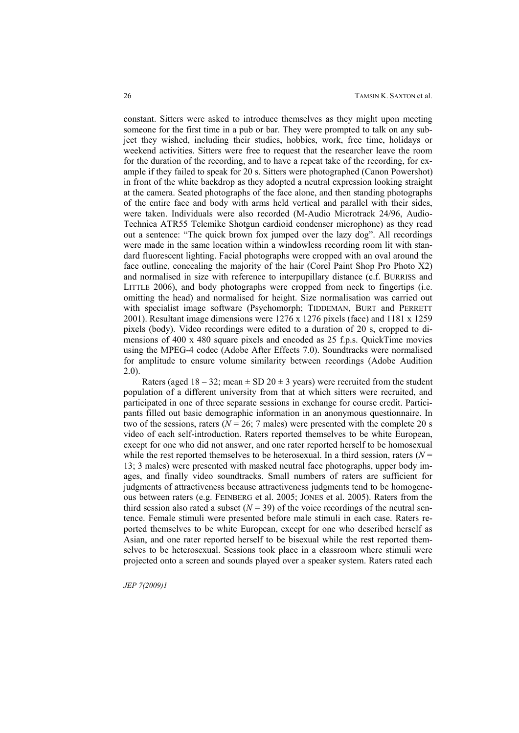constant. Sitters were asked to introduce themselves as they might upon meeting someone for the first time in a pub or bar. They were prompted to talk on any subject they wished, including their studies, hobbies, work, free time, holidays or weekend activities. Sitters were free to request that the researcher leave the room for the duration of the recording, and to have a repeat take of the recording, for example if they failed to speak for 20 s. Sitters were photographed (Canon Powershot) in front of the white backdrop as they adopted a neutral expression looking straight at the camera. Seated photographs of the face alone, and then standing photographs of the entire face and body with arms held vertical and parallel with their sides, were taken. Individuals were also recorded (M-Audio Microtrack 24/96, Audio-Technica ATR55 Telemike Shotgun cardioid condenser microphone) as they read out a sentence: "The quick brown fox jumped over the lazy dog". All recordings were made in the same location within a windowless recording room lit with standard fluorescent lighting. Facial photographs were cropped with an oval around the face outline, concealing the majority of the hair (Corel Paint Shop Pro Photo X2) and normalised in size with reference to interpupillary distance (c.f. BURRISS and LITTLE 2006), and body photographs were cropped from neck to fingertips (i.e. omitting the head) and normalised for height. Size normalisation was carried out with specialist image software (Psychomorph; TIDDEMAN, BURT and PERRETT 2001). Resultant image dimensions were 1276 x 1276 pixels (face) and 1181 x 1259 pixels (body). Video recordings were edited to a duration of 20 s, cropped to dimensions of 400 x 480 square pixels and encoded as 25 f.p.s. QuickTime movies using the MPEG-4 codec (Adobe After Effects 7.0). Soundtracks were normalised for amplitude to ensure volume similarity between recordings (Adobe Audition 2.0).

Raters (aged  $18 - 32$ ; mean  $\pm$  SD  $20 \pm 3$  years) were recruited from the student population of a different university from that at which sitters were recruited, and participated in one of three separate sessions in exchange for course credit. Participants filled out basic demographic information in an anonymous questionnaire. In two of the sessions, raters ( $N = 26$ ; 7 males) were presented with the complete 20 s video of each self-introduction. Raters reported themselves to be white European, except for one who did not answer, and one rater reported herself to be homosexual while the rest reported themselves to be heterosexual. In a third session, raters  $(N =$ 13; 3 males) were presented with masked neutral face photographs, upper body images, and finally video soundtracks. Small numbers of raters are sufficient for judgments of attractiveness because attractiveness judgments tend to be homogeneous between raters (e.g. FEINBERG et al. 2005; JONES et al. 2005). Raters from the third session also rated a subset  $(N = 39)$  of the voice recordings of the neutral sentence. Female stimuli were presented before male stimuli in each case. Raters reported themselves to be white European, except for one who described herself as Asian, and one rater reported herself to be bisexual while the rest reported themselves to be heterosexual. Sessions took place in a classroom where stimuli were projected onto a screen and sounds played over a speaker system. Raters rated each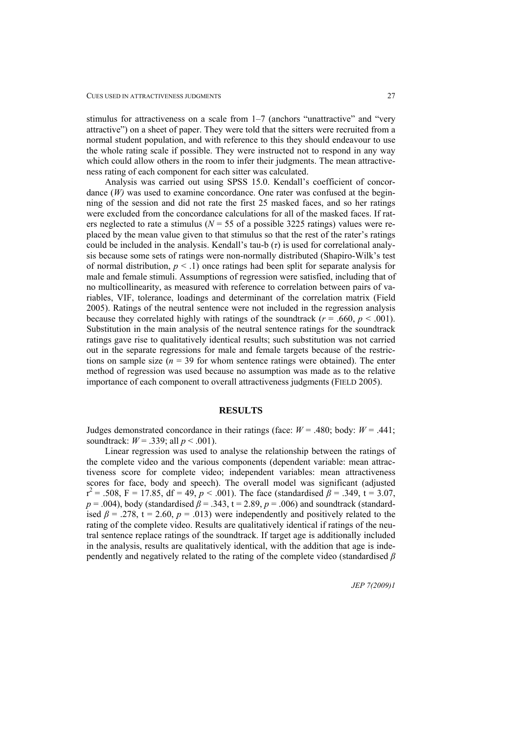stimulus for attractiveness on a scale from 1–7 (anchors "unattractive" and "very attractive") on a sheet of paper. They were told that the sitters were recruited from a normal student population, and with reference to this they should endeavour to use the whole rating scale if possible. They were instructed not to respond in any way which could allow others in the room to infer their judgments. The mean attractiveness rating of each component for each sitter was calculated.

Analysis was carried out using SPSS 15.0. Kendall's coefficient of concordance (*W*) was used to examine concordance. One rater was confused at the beginning of the session and did not rate the first 25 masked faces, and so her ratings were excluded from the concordance calculations for all of the masked faces. If raters neglected to rate a stimulus ( $N = 55$  of a possible 3225 ratings) values were replaced by the mean value given to that stimulus so that the rest of the rater's ratings could be included in the analysis. Kendall's tau-b  $(\tau)$  is used for correlational analysis because some sets of ratings were non-normally distributed (Shapiro-Wilk's test of normal distribution,  $p < 0.1$  once ratings had been split for separate analysis for male and female stimuli. Assumptions of regression were satisfied, including that of no multicollinearity, as measured with reference to correlation between pairs of variables, VIF, tolerance, loadings and determinant of the correlation matrix (Field 2005). Ratings of the neutral sentence were not included in the regression analysis because they correlated highly with ratings of the soundtrack  $(r = .660, p < .001)$ . Substitution in the main analysis of the neutral sentence ratings for the soundtrack ratings gave rise to qualitatively identical results; such substitution was not carried out in the separate regressions for male and female targets because of the restrictions on sample size  $(n = 39$  for whom sentence ratings were obtained). The enter method of regression was used because no assumption was made as to the relative importance of each component to overall attractiveness judgments (FIELD 2005).

### **RESULTS**

Judges demonstrated concordance in their ratings (face:  $W = .480$ ; body:  $W = .441$ ; soundtrack: *W* = .339; all *p* < .001).

Linear regression was used to analyse the relationship between the ratings of the complete video and the various components (dependent variable: mean attractiveness score for complete video; independent variables: mean attractiveness scores for face, body and speech). The overall model was significant (adjusted  $r^2$  = .508, F = 17.85, df = 49,  $p < .001$ ). The face (standardised  $\beta$  = .349, t = 3.07,  $p = .004$ ), body (standardised  $\beta = .343$ ,  $t = 2.89$ ,  $p = .006$ ) and soundtrack (standardised  $\beta$  = .278, t = 2.60,  $p$  = .013) were independently and positively related to the rating of the complete video. Results are qualitatively identical if ratings of the neutral sentence replace ratings of the soundtrack. If target age is additionally included in the analysis, results are qualitatively identical, with the addition that age is independently and negatively related to the rating of the complete video (standardised *β*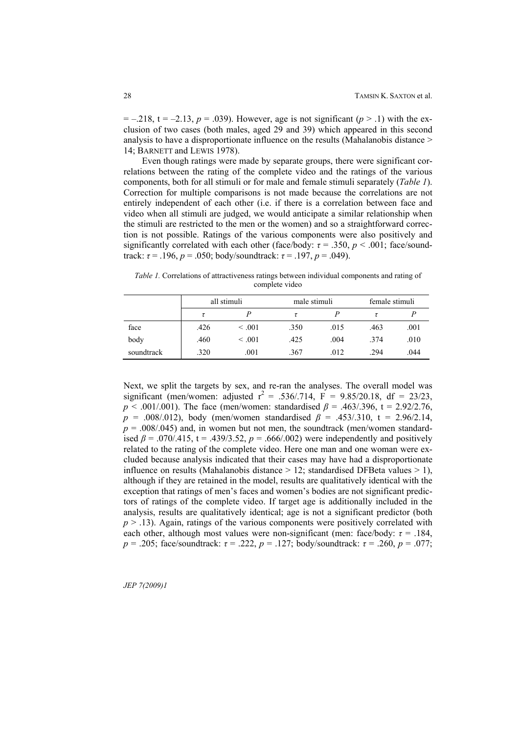$= -0.218$ ,  $t = -2.13$ ,  $p = 0.039$ ). However, age is not significant ( $p > 0.1$ ) with the exclusion of two cases (both males, aged 29 and 39) which appeared in this second analysis to have a disproportionate influence on the results (Mahalanobis distance > 14; BARNETT and LEWIS 1978).

Even though ratings were made by separate groups, there were significant correlations between the rating of the complete video and the ratings of the various components, both for all stimuli or for male and female stimuli separately (*Table 1*). Correction for multiple comparisons is not made because the correlations are not entirely independent of each other (i.e. if there is a correlation between face and video when all stimuli are judged, we would anticipate a similar relationship when the stimuli are restricted to the men or the women) and so a straightforward correction is not possible. Ratings of the various components were also positively and significantly correlated with each other (face/body:  $\tau = .350$ ,  $p < .001$ ; face/soundtrack:  $\tau$  = .196,  $p$  = .050; body/soundtrack:  $\tau$  = .197,  $p$  = .049).

*Table 1.* Correlations of attractiveness ratings between individual components and rating of complete video

|            | all stimuli |             | male stimuli |      | female stimuli |      |
|------------|-------------|-------------|--------------|------|----------------|------|
|            |             |             |              |      |                |      |
| face       | .426        | $\leq .001$ | .350         | .015 | .463           | .001 |
| body       | .460        | $\leq .001$ | .425         | .004 | .374           | .010 |
| soundtrack | .320        | .001        | .367         | .012 | .294           | .044 |

Next, we split the targets by sex, and re-ran the analyses. The overall model was significant (men/women: adjusted  $r^2 = .536/0.714$ ,  $F = 9.85/20.18$ , df = 23/23, *p* < .001/.001). The face (men/women: standardised *β* = .463/.396, t = 2.92/2.76,  $p = .008/.012$ , body (men/women standardised  $\beta = .453/.310$ , t = 2.96/2.14,  $p = .008/0.045$ ) and, in women but not men, the soundtrack (men/women standardised  $\beta$  = .070/.415, t = .439/3.52,  $p$  = .666/.002) were independently and positively related to the rating of the complete video. Here one man and one woman were excluded because analysis indicated that their cases may have had a disproportionate influence on results (Mahalanobis distance  $> 12$ ; standardised DFBeta values  $> 1$ ), although if they are retained in the model, results are qualitatively identical with the exception that ratings of men's faces and women's bodies are not significant predictors of ratings of the complete video. If target age is additionally included in the analysis, results are qualitatively identical; age is not a significant predictor (both  $p > 0.13$ . Again, ratings of the various components were positively correlated with each other, although most values were non-significant (men: face/body:  $\tau = .184$ , *p* = .205; face/soundtrack: *τ* = .222, *p* = .127; body/soundtrack: *τ* = .260, *p* = .077;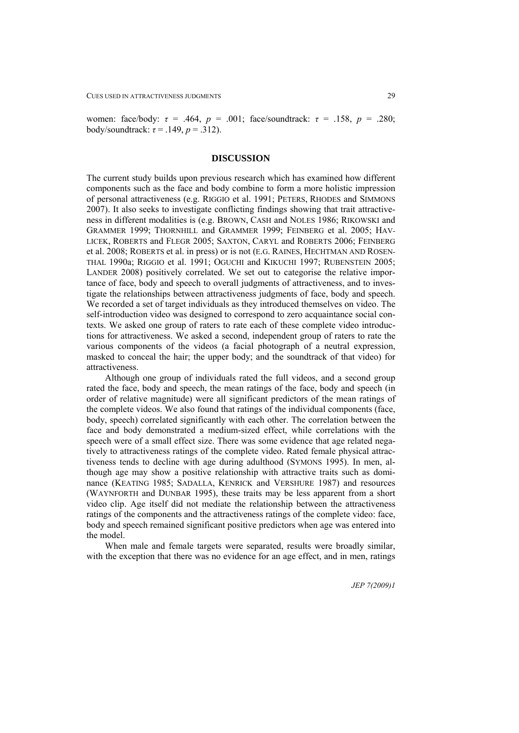women: face/body: *τ* = .464, *p* = .001; face/soundtrack: *τ* = .158, *p* = .280; body/soundtrack:  $\tau = .149$ ,  $p = .312$ ).

#### **DISCUSSION**

The current study builds upon previous research which has examined how different components such as the face and body combine to form a more holistic impression of personal attractiveness (e.g. RIGGIO et al. 1991; PETERS, RHODES and SIMMONS 2007). It also seeks to investigate conflicting findings showing that trait attractiveness in different modalities is (e.g. BROWN, CASH and NOLES 1986; RIKOWSKI and GRAMMER 1999; THORNHILL and GRAMMER 1999; FEINBERG et al. 2005; HAV-LICEK, ROBERTS and FLEGR 2005; SAXTON, CARYL and ROBERTS 2006; FEINBERG et al. 2008; ROBERTS et al. in press) or is not (E.G. RAINES, HECHTMAN AND ROSEN-THAL 1990a; RIGGIO et al. 1991; OGUCHI and KIKUCHI 1997; RUBENSTEIN 2005; LANDER 2008) positively correlated. We set out to categorise the relative importance of face, body and speech to overall judgments of attractiveness, and to investigate the relationships between attractiveness judgments of face, body and speech. We recorded a set of target individuals as they introduced themselves on video. The self-introduction video was designed to correspond to zero acquaintance social contexts. We asked one group of raters to rate each of these complete video introductions for attractiveness. We asked a second, independent group of raters to rate the various components of the videos (a facial photograph of a neutral expression, masked to conceal the hair; the upper body; and the soundtrack of that video) for attractiveness.

Although one group of individuals rated the full videos, and a second group rated the face, body and speech, the mean ratings of the face, body and speech (in order of relative magnitude) were all significant predictors of the mean ratings of the complete videos. We also found that ratings of the individual components (face, body, speech) correlated significantly with each other. The correlation between the face and body demonstrated a medium-sized effect, while correlations with the speech were of a small effect size. There was some evidence that age related negatively to attractiveness ratings of the complete video. Rated female physical attractiveness tends to decline with age during adulthood (SYMONS 1995). In men, although age may show a positive relationship with attractive traits such as dominance (KEATING 1985; SADALLA, KENRICK and VERSHURE 1987) and resources (WAYNFORTH and DUNBAR 1995), these traits may be less apparent from a short video clip. Age itself did not mediate the relationship between the attractiveness ratings of the components and the attractiveness ratings of the complete video: face, body and speech remained significant positive predictors when age was entered into the model.

When male and female targets were separated, results were broadly similar, with the exception that there was no evidence for an age effect, and in men, ratings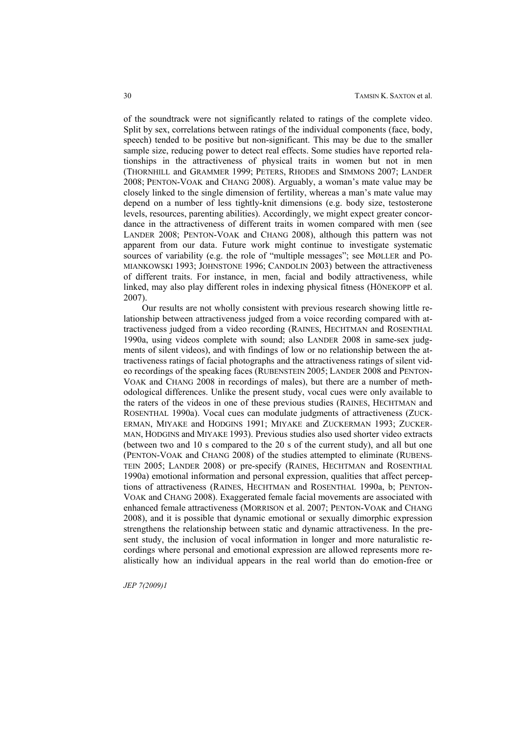of the soundtrack were not significantly related to ratings of the complete video. Split by sex, correlations between ratings of the individual components (face, body, speech) tended to be positive but non-significant. This may be due to the smaller sample size, reducing power to detect real effects. Some studies have reported relationships in the attractiveness of physical traits in women but not in men (THORNHILL and GRAMMER 1999; PETERS, RHODES and SIMMONS 2007; LANDER 2008; PENTON-VOAK and CHANG 2008). Arguably, a woman's mate value may be closely linked to the single dimension of fertility, whereas a man's mate value may depend on a number of less tightly-knit dimensions (e.g. body size, testosterone levels, resources, parenting abilities). Accordingly, we might expect greater concordance in the attractiveness of different traits in women compared with men (see LANDER 2008; PENTON-VOAK and CHANG 2008), although this pattern was not apparent from our data. Future work might continue to investigate systematic sources of variability (e.g. the role of "multiple messages"; see MØLLER and PO-MIANKOWSKI 1993; JOHNSTONE 1996; CANDOLIN 2003) between the attractiveness of different traits. For instance, in men, facial and bodily attractiveness, while linked, may also play different roles in indexing physical fitness (HÖNEKOPP et al. 2007).

Our results are not wholly consistent with previous research showing little relationship between attractiveness judged from a voice recording compared with attractiveness judged from a video recording (RAINES, HECHTMAN and ROSENTHAL 1990a, using videos complete with sound; also LANDER 2008 in same-sex judgments of silent videos), and with findings of low or no relationship between the attractiveness ratings of facial photographs and the attractiveness ratings of silent video recordings of the speaking faces (RUBENSTEIN 2005; LANDER 2008 and PENTON-VOAK and CHANG 2008 in recordings of males), but there are a number of methodological differences. Unlike the present study, vocal cues were only available to the raters of the videos in one of these previous studies (RAINES, HECHTMAN and ROSENTHAL 1990a). Vocal cues can modulate judgments of attractiveness (ZUCK-ERMAN, MIYAKE and HODGINS 1991; MIYAKE and ZUCKERMAN 1993; ZUCKER-MAN, HODGINS and MIYAKE 1993). Previous studies also used shorter video extracts (between two and 10 s compared to the 20 s of the current study), and all but one (PENTON-VOAK and CHANG 2008) of the studies attempted to eliminate (RUBENS-TEIN 2005; LANDER 2008) or pre-specify (RAINES, HECHTMAN and ROSENTHAL 1990a) emotional information and personal expression, qualities that affect perceptions of attractiveness (RAINES, HECHTMAN and ROSENTHAL 1990a, b; PENTON-VOAK and CHANG 2008). Exaggerated female facial movements are associated with enhanced female attractiveness (MORRISON et al. 2007; PENTON-VOAK and CHANG 2008), and it is possible that dynamic emotional or sexually dimorphic expression strengthens the relationship between static and dynamic attractiveness. In the present study, the inclusion of vocal information in longer and more naturalistic recordings where personal and emotional expression are allowed represents more realistically how an individual appears in the real world than do emotion-free or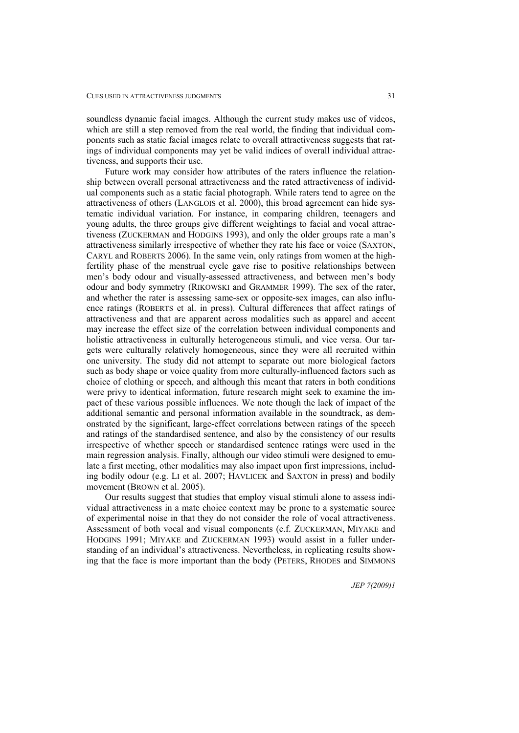soundless dynamic facial images. Although the current study makes use of videos, which are still a step removed from the real world, the finding that individual components such as static facial images relate to overall attractiveness suggests that ratings of individual components may yet be valid indices of overall individual attractiveness, and supports their use.

Future work may consider how attributes of the raters influence the relationship between overall personal attractiveness and the rated attractiveness of individual components such as a static facial photograph. While raters tend to agree on the attractiveness of others (LANGLOIS et al. 2000), this broad agreement can hide systematic individual variation. For instance, in comparing children, teenagers and young adults, the three groups give different weightings to facial and vocal attractiveness (ZUCKERMAN and HODGINS 1993), and only the older groups rate a man's attractiveness similarly irrespective of whether they rate his face or voice (SAXTON, CARYL and ROBERTS 2006). In the same vein, only ratings from women at the highfertility phase of the menstrual cycle gave rise to positive relationships between men's body odour and visually-assessed attractiveness, and between men's body odour and body symmetry (RIKOWSKI and GRAMMER 1999). The sex of the rater, and whether the rater is assessing same-sex or opposite-sex images, can also influence ratings (ROBERTS et al. in press). Cultural differences that affect ratings of attractiveness and that are apparent across modalities such as apparel and accent may increase the effect size of the correlation between individual components and holistic attractiveness in culturally heterogeneous stimuli, and vice versa. Our targets were culturally relatively homogeneous, since they were all recruited within one university. The study did not attempt to separate out more biological factors such as body shape or voice quality from more culturally-influenced factors such as choice of clothing or speech, and although this meant that raters in both conditions were privy to identical information, future research might seek to examine the impact of these various possible influences. We note though the lack of impact of the additional semantic and personal information available in the soundtrack, as demonstrated by the significant, large-effect correlations between ratings of the speech and ratings of the standardised sentence, and also by the consistency of our results irrespective of whether speech or standardised sentence ratings were used in the main regression analysis. Finally, although our video stimuli were designed to emulate a first meeting, other modalities may also impact upon first impressions, including bodily odour (e.g. LI et al. 2007; HAVLICEK and SAXTON in press) and bodily movement (BROWN et al. 2005).

Our results suggest that studies that employ visual stimuli alone to assess individual attractiveness in a mate choice context may be prone to a systematic source of experimental noise in that they do not consider the role of vocal attractiveness. Assessment of both vocal and visual components (c.f. ZUCKERMAN, MIYAKE and HODGINS 1991; MIYAKE and ZUCKERMAN 1993) would assist in a fuller understanding of an individual's attractiveness. Nevertheless, in replicating results showing that the face is more important than the body (PETERS, RHODES and SIMMONS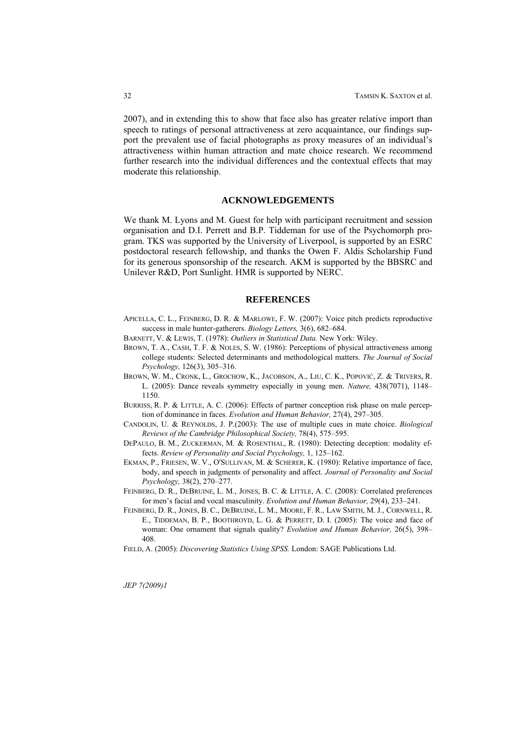2007), and in extending this to show that face also has greater relative import than speech to ratings of personal attractiveness at zero acquaintance, our findings support the prevalent use of facial photographs as proxy measures of an individual's attractiveness within human attraction and mate choice research. We recommend further research into the individual differences and the contextual effects that may moderate this relationship.

#### **ACKNOWLEDGEMENTS**

We thank M. Lyons and M. Guest for help with participant recruitment and session organisation and D.I. Perrett and B.P. Tiddeman for use of the Psychomorph program. TKS was supported by the University of Liverpool, is supported by an ESRC postdoctoral research fellowship, and thanks the Owen F. Aldis Scholarship Fund for its generous sponsorship of the research. AKM is supported by the BBSRC and Unilever R&D, Port Sunlight. HMR is supported by NERC.

#### **REFERENCES**

- APICELLA, C. L., FEINBERG, D. R. & MARLOWE, F. W. (2007): Voice pitch predicts reproductive success in male hunter-gatherers. *Biology Letters,* 3(6), 682–684.
- BARNETT, V. & LEWIS, T. (1978): *Outliers in Statistical Data.* New York: Wiley.
- BROWN, T. A., CASH, T. F. & NOLES, S. W. (1986): Perceptions of physical attractiveness among college students: Selected determinants and methodological matters. *The Journal of Social Psychology,* 126(3), 305–316.
- BROWN, W. M., CRONK, L., GROCHOW, K., JACOBSON, A., LIU, C. K., POPOVIĆ, Z. & TRIVERS, R. L. (2005): Dance reveals symmetry especially in young men. *Nature,* 438(7071), 1148– 1150.
- BURRISS, R. P. & LITTLE, A. C. (2006): Effects of partner conception risk phase on male perception of dominance in faces. *Evolution and Human Behavior,* 27(4), 297–305.
- CANDOLIN, U. & REYNOLDS, J. P.(2003): The use of multiple cues in mate choice. *Biological Reviews of the Cambridge Philosophical Society,* 78(4), 575–595.
- DEPAULO, B. M., ZUCKERMAN, M. & ROSENTHAL, R. (1980): Detecting deception: modality effects. *Review of Personality and Social Psychology,* 1, 125–162.
- EKMAN, P., FRIESEN, W. V., O'SULLIVAN, M. & SCHERER, K. (1980): Relative importance of face, body, and speech in judgments of personality and affect. *Journal of Personality and Social Psychology,* 38(2), 270–277.
- FEINBERG, D. R., DEBRUINE, L. M., JONES, B. C. & LITTLE, A. C. (2008): Correlated preferences for men's facial and vocal masculinity. *Evolution and Human Behavior,* 29(4), 233–241.
- FEINBERG, D. R., JONES, B. C., DEBRUINE, L. M., MOORE, F. R., LAW SMITH, M. J., CORNWELL, R. E., TIDDEMAN, B. P., BOOTHROYD, L. G. & PERRETT, D. I. (2005): The voice and face of woman: One ornament that signals quality? *Evolution and Human Behavior,* 26(5), 398– 408.
- FIELD, A. (2005): *Discovering Statistics Using SPSS.* London: SAGE Publications Ltd.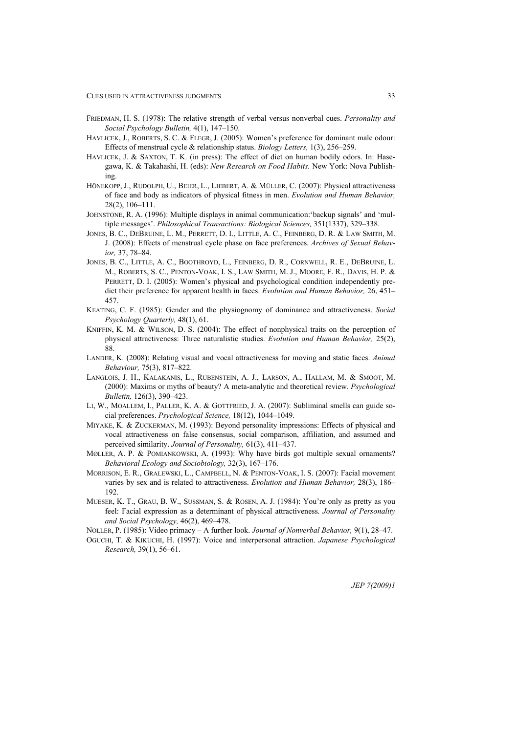CUES USED IN ATTRACTIVENESS JUDGMENTS

- FRIEDMAN, H. S. (1978): The relative strength of verbal versus nonverbal cues. *Personality and Social Psychology Bulletin,* 4(1), 147–150.
- HAVLICEK, J., ROBERTS, S. C. & FLEGR, J. (2005): Women's preference for dominant male odour: Effects of menstrual cycle & relationship status. *Biology Letters,* 1(3), 256–259.
- HAVLICEK, J. & SAXTON, T. K. (in press): The effect of diet on human bodily odors. In: Hasegawa, K. & Takahashi, H. (eds): *New Research on Food Habits.* New York: Nova Publishing.
- HÖNEKOPP, J., RUDOLPH, U., BEIER, L., LIEBERT, A. & MÜLLER, C. (2007): Physical attractiveness of face and body as indicators of physical fitness in men. *Evolution and Human Behavior,* 28(2), 106–111.
- JOHNSTONE, R. A. (1996): Multiple displays in animal communication:'backup signals' and 'multiple messages'. *Philosophical Transactions: Biological Sciences,* 351(1337), 329–338.
- JONES, B. C., DEBRUINE, L. M., PERRETT, D. I., LITTLE, A. C., FEINBERG, D. R. & LAW SMITH, M. J. (2008): Effects of menstrual cycle phase on face preferences. *Archives of Sexual Behavior,* 37, 78–84.
- JONES, B. C., LITTLE, A. C., BOOTHROYD, L., FEINBERG, D. R., CORNWELL, R. E., DEBRUINE, L. M., ROBERTS, S. C., PENTON-VOAK, I. S., LAW SMITH, M. J., MOORE, F. R., DAVIS, H. P. & PERRETT, D. I. (2005): Women's physical and psychological condition independently predict their preference for apparent health in faces. *Evolution and Human Behavior,* 26, 451– 457.
- KEATING, C. F. (1985): Gender and the physiognomy of dominance and attractiveness. *Social Psychology Quarterly,* 48(1), 61.
- KNIFFIN, K. M. & WILSON, D. S. (2004): The effect of nonphysical traits on the perception of physical attractiveness: Three naturalistic studies. *Evolution and Human Behavior,* 25(2), 88.
- LANDER, K. (2008): Relating visual and vocal attractiveness for moving and static faces. *Animal Behaviour,* 75(3), 817–822.
- LANGLOIS, J. H., KALAKANIS, L., RUBENSTEIN, A. J., LARSON, A., HALLAM, M. & SMOOT, M. (2000): Maxims or myths of beauty? A meta-analytic and theoretical review. *Psychological Bulletin,* 126(3), 390–423.
- LI, W., MOALLEM, I., PALLER, K. A. & GOTTFRIED, J. A. (2007): Subliminal smells can guide social preferences. *Psychological Science,* 18(12), 1044–1049.
- MIYAKE, K. & ZUCKERMAN, M. (1993): Beyond personality impressions: Effects of physical and vocal attractiveness on false consensus, social comparison, affiliation, and assumed and perceived similarity. *Journal of Personality,* 61(3), 411–437.
- MØLLER, A. P. & POMIANKOWSKI, A. (1993): Why have birds got multiple sexual ornaments? *Behavioral Ecology and Sociobiology,* 32(3), 167–176.
- MORRISON, E. R., GRALEWSKI, L., CAMPBELL, N. & PENTON-VOAK, I. S. (2007): Facial movement varies by sex and is related to attractiveness. *Evolution and Human Behavior,* 28(3), 186– 192.
- MUESER, K. T., GRAU, B. W., SUSSMAN, S. & ROSEN, A. J. (1984): You're only as pretty as you feel: Facial expression as a determinant of physical attractiveness. *Journal of Personality and Social Psychology,* 46(2), 469–478.
- NOLLER, P. (1985): Video primacy A further look. *Journal of Nonverbal Behavior,* 9(1), 28–47.
- OGUCHI, T. & KIKUCHI, H. (1997): Voice and interpersonal attraction. *Japanese Psychological Research,* 39(1), 56–61.

33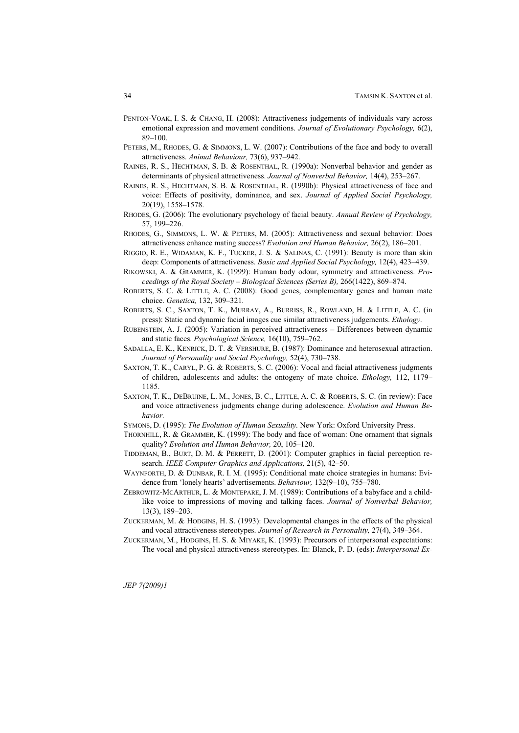- PENTON-VOAK, I. S. & CHANG, H. (2008): Attractiveness judgements of individuals vary across emotional expression and movement conditions. *Journal of Evolutionary Psychology,* 6(2), 89–100.
- PETERS, M., RHODES, G. & SIMMONS, L. W. (2007): Contributions of the face and body to overall attractiveness. *Animal Behaviour,* 73(6), 937–942.
- RAINES, R. S., HECHTMAN, S. B. & ROSENTHAL, R. (1990a): Nonverbal behavior and gender as determinants of physical attractiveness. *Journal of Nonverbal Behavior,* 14(4), 253–267.
- RAINES, R. S., HECHTMAN, S. B. & ROSENTHAL, R. (1990b): Physical attractiveness of face and voice: Effects of positivity, dominance, and sex. *Journal of Applied Social Psychology,* 20(19), 1558–1578.
- RHODES, G. (2006): The evolutionary psychology of facial beauty. *Annual Review of Psychology,* 57, 199–226.
- RHODES, G., SIMMONS, L. W. & PETERS, M. (2005): Attractiveness and sexual behavior: Does attractiveness enhance mating success? *Evolution and Human Behavior,* 26(2), 186–201.
- RIGGIO, R. E., WIDAMAN, K. F., TUCKER, J. S. & SALINAS, C. (1991): Beauty is more than skin deep: Components of attractiveness. *Basic and Applied Social Psychology,* 12(4), 423–439.
- RIKOWSKI, A. & GRAMMER, K. (1999): Human body odour, symmetry and attractiveness. *Proceedings of the Royal Society – Biological Sciences (Series B),* 266(1422), 869–874.
- ROBERTS, S. C. & LITTLE, A. C. (2008): Good genes, complementary genes and human mate choice. *Genetica,* 132, 309–321.
- ROBERTS, S. C., SAXTON, T. K., MURRAY, A., BURRISS, R., ROWLAND, H. & LITTLE, A. C. (in press): Static and dynamic facial images cue similar attractiveness judgements. *Ethology*.
- RUBENSTEIN, A. J. (2005): Variation in perceived attractiveness Differences between dynamic and static faces. *Psychological Science,* 16(10), 759–762.
- SADALLA, E. K., KENRICK, D. T. & VERSHURE, B. (1987): Dominance and heterosexual attraction. *Journal of Personality and Social Psychology,* 52(4), 730–738.
- SAXTON, T. K., CARYL, P. G. & ROBERTS, S. C. (2006): Vocal and facial attractiveness judgments of children, adolescents and adults: the ontogeny of mate choice. *Ethology,* 112, 1179– 1185.
- SAXTON, T. K., DEBRUINE, L. M., JONES, B. C., LITTLE, A. C. & ROBERTS, S. C. (in review): Face and voice attractiveness judgments change during adolescence. *Evolution and Human Behavior.*
- SYMONS, D. (1995): *The Evolution of Human Sexuality.* New York: Oxford University Press.
- THORNHILL, R. & GRAMMER, K. (1999): The body and face of woman: One ornament that signals quality? *Evolution and Human Behavior,* 20, 105–120.
- TIDDEMAN, B., BURT, D. M. & PERRETT, D. (2001): Computer graphics in facial perception research. *IEEE Computer Graphics and Applications,* 21(5), 42–50.
- WAYNFORTH, D. & DUNBAR, R. I. M. (1995): Conditional mate choice strategies in humans: Evidence from 'lonely hearts' advertisements. *Behaviour,* 132(9–10), 755–780.
- ZEBROWITZ-MCARTHUR, L. & MONTEPARE, J. M. (1989): Contributions of a babyface and a childlike voice to impressions of moving and talking faces. *Journal of Nonverbal Behavior,* 13(3), 189–203.
- ZUCKERMAN, M. & HODGINS, H. S. (1993): Developmental changes in the effects of the physical and vocal attractiveness stereotypes. *Journal of Research in Personality,* 27(4), 349–364.
- ZUCKERMAN, M., HODGINS, H. S. & MIYAKE, K. (1993): Precursors of interpersonal expectations: The vocal and physical attractiveness stereotypes. In: Blanck, P. D. (eds): *Interpersonal Ex-*